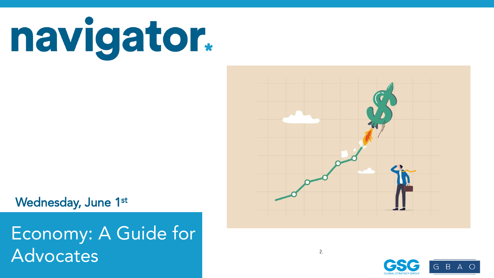

Wednesday, June 1st

This data is from a survey conducted entirely before the mass shown  $^{2}$ . Nationwide surveys of registered voters; Each wave represents approximately 1,000 interviews taken over the prior three-five days. Latest wave conducted May 19-May 23, 2022. For more info, visit navigatorresearch.org Advocates Economy: A Guide for



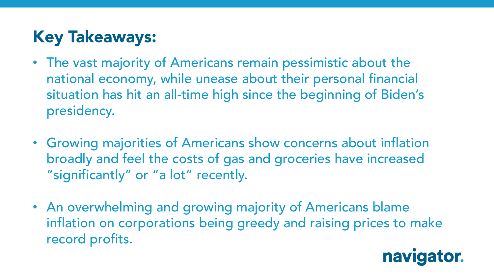## **Key Takeaways:**

- The vast majority of Americans remain pessimistic about the national economy, while unease about their personal financial situation has hit an all-time high since the beginning of Biden's presidency.
- Growing majorities of Americans show concerns about inflation broadly and feel the costs of gas and groceries have increased "significantly" or "a lot" recently.
- An overwhelming and growing majority of Americans blame inflation on corporations being greedy and raising prices to make record profits.

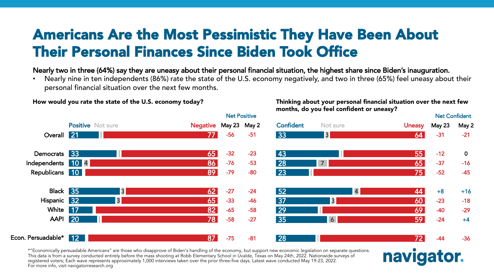#### Americans Are the Most Pessimistic They Have Been About Their Personal Finances Since Biden Took Office

Nearly two in three (64%) say they are uneasy about their personal financial situation, the highest share since Biden's inauguration.

• Nearly nine in ten independents (86%) rate the state of the U.S. economy negatively, and two in three (65%) feel uneasy about their personal financial situation over the next few months.



How would you rate the state of the U.S. economy today?

\*"Economically persuadable Americans" are those who disapprove of Biden's handling of the economy, but support new economic legislation on separate questions.<br>This concent of the control of the concentration on separate th This data is from a survey conducted entirely before the mass shooting at Robb Elementary School in Uvalde, Texas on May 24th, 2022. Nationwide surveys of registered voters; Each wave represents approximately 1,000 interviews taken over the prior three-five days. Latest wave conducted May 19-23, 2022.<br>F For more info, visit navigatorresearch.org

#### Thinking about your personal financial situation over the next few months, do you feel confident or uneasy?

navigator.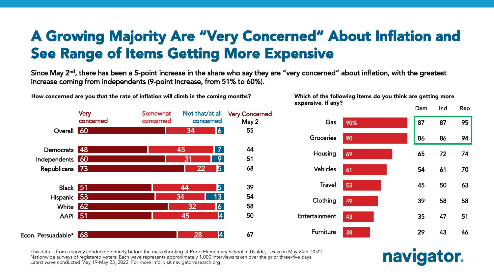## A Growing Majority Are "Very Concerned" About Inflation and See Range of Items Getting More Expensive

Since May 2<sup>nd</sup>, there has been a 5-point increase in the share who say they are "very concerned" about inflation, with the greatest increase coming from independents (9-point increase, from 51% to 60%).



How concerned are you that the rate of inflation will climb in the coming months?

Which of the following items do you think are getting more expensive, if any?



navigator.

This data is from a survey conducted entirely before the mass shooting at Robb Elementary School in Uvalde, Texas on May 24th, 2022. Nationwide surveys of registered voters; Each wave represents approximately 1,000 interviews taken over the prior three-five days. Latest wave conducted May 19-May 23, 2022. For more info, visit navigatorresearch.org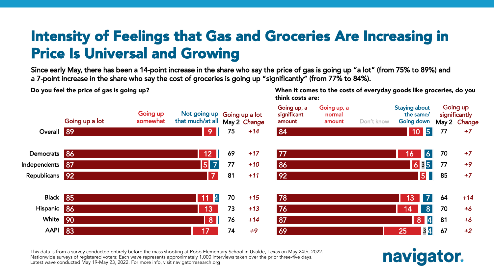## Intensity of Feelings that Gas and Groceries Are Increasing in Price Is Universal and Growing

Since early May, there has been a 14-point increase in the share who say the price of gas is going up "a lot" (from 75% to 89%) and a 7-point increase in the share who say the cost of groceries is going up "significantly" (from 77% to 84%).

Do you feel the price of gas is going up?

When it comes to the costs of everyday goods like groceries, do you think costs are:



This data is from a survey conducted entirely before the mass shooting at Robb Elementary School in Uvalde, Texas on May 24th, 2022. Nationwide surveys of registered voters; Each wave represents approximately 1,000 interviews taken over the prior three-five days. Latest wave conducted May 19-May 23, 2022. For more info, visit navigatorresearch.org

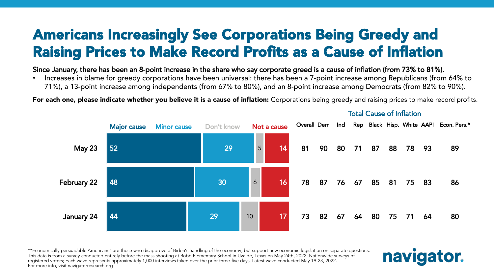## Americans Increasingly See Corporations Being Greedy and Raising Prices to Make Record Profits as a Cause of Inflation

#### Since January, there has been an 8-point increase in the share who say corporate greed is a cause of inflation (from 73% to 81%).

• Increases in blame for greedy corporations have been universal: there has been a 7-point increase among Republicans (from 64% to 71%), a 13-point increase among independents (from 67% to 80%), and an 8-point increase among Democrats (from 82% to 90%).

For each one, please indicate whether you believe it is a cause of inflation: Corporations being greedy and raising prices to make record profits.



Total Cause of Inflation

\*"Economically persuadable Americans" are those who disapprove of Biden's handling of the economy, but support new economic legislation on separate questions.<br>This concent of the control of the concentration on separate th This data is from a survey conducted entirely before the mass shooting at Robb Elementary School in Uvalde, Texas on May 24th, 2022. Nationwide surveys of registered voters; Each wave represents approximately 1,000 interviews taken over the prior three-five days. Latest wave conducted May 19-23, 2022.<br>F For more info, visit navigatorresearch.org

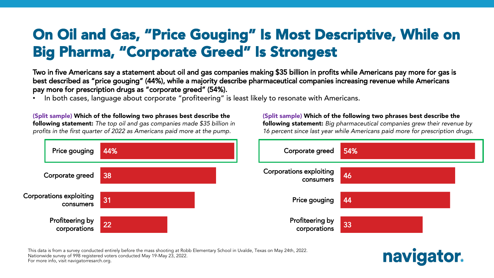## On Oil and Gas, "Price Gouging" Is Most Descriptive, While on Big Pharma, "Corporate Greed" Is Strongest

Two in five Americans say a statement about oil and gas companies making \$35 billion in profits while Americans pay more for gas is best described as "price gouging" (44%), while a majority describe pharmaceutical companies increasing revenue while Americans pay more for prescription drugs as "corporate greed" (54%).

In both cases, language about corporate "profiteering" is least likely to resonate with Americans.

(Split sample) Which of the following two phrases best describe the following statement: *The top oil and gas companies made \$35 billion in profits in the first quarter of 2022 as Americans paid more at the pump.*

(Split sample) Which of the following two phrases best describe the following statement: *Big pharmaceutical companies grew their revenue by 16 percent since last year while Americans paid more for prescription drugs.*

navigator.



This data is from a survey conducted entirely before the mass shooting at Robb Elementary School in Uvalde, Texas on May 24th, 2022.<br>. Nationwide survey of 998 registered voters conducted May 19-May 23, 2022.<br>F For more info, visit navigatorresarch.org.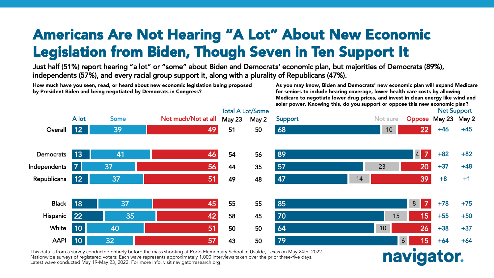## Americans Are Not Hearing "A Lot" About New Economic Legislation from Biden, Though Seven in Ten Support It

Just half (51%) report hearing "a lot" or "some" about Biden and Democrats' economic plan, but majorities of Democrats (89%), independents (57%), and every racial group support it, along with a plurality of Republicans (47%).

How much have you seen, read, or heard about new economic legislation being proposed by President Biden and being negotiated by Democrats in Congress?

As you may know, Biden and Democrats' new economic plan will expand Medicare for seniors to include hearing coverage, lower health care costs by allowing Medicare to negotiate lower drug prices, and invest in clean energy like wind and solar power. Knowing this, do you support or oppose this new economic plan?



This data is from a survey conducted entirely before the mass shooting at Robb Elementary School in Uvalde, Texas on May 24th, 2022. Nationwide surveys of registered voters; Each wave represents approximately 1,000 interviews taken over the prior three-five days. Latest wave conducted May 19-May 23, 2022. For more info, visit navigatorresearch.org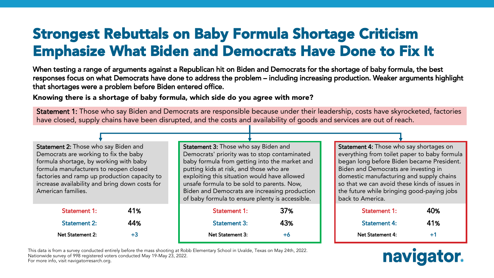## Strongest Rebuttals on Baby Formula Shortage Criticism Emphasize What Biden and Democrats Have Done to Fix It

When testing a range of arguments against a Republican hit on Biden and Democrats for the shortage of baby formula, the best responses focus on what Democrats have done to address the problem – including increasing production. Weaker arguments highlight that shortages were a problem before Biden entered office.

Knowing there is a shortage of baby formula, which side do you agree with more?

Statement 1: Those who say Biden and Democrats are responsible because under their leadership, costs have skyrocketed, factories have closed, supply chains have been disrupted, and the costs and availability of goods and services are out of reach.

Statement 2: Those who say Biden and Democrats are working to fix the baby formula shortage, by working with baby formula manufacturers to reopen closed factories and ramp up production capacity to increase availability and bring down costs for American families.

| <b>Statement 1:</b> | 41%  |
|---------------------|------|
| <b>Statement 2:</b> | 44%  |
| Net Statement 2:    | $+3$ |

Statement 3: Those who say Biden and Democrats' priority was to stop contaminated baby formula from getting into the market and putting kids at risk, and those who are exploiting this situation would have allowed unsafe formula to be sold to parents. Now, Biden and Democrats are increasing production of baby formula to ensure plenty is accessible.

| 41%  | <b>Statement 1:</b> | 37% |
|------|---------------------|-----|
| 44%  | <b>Statement 3:</b> | 43% |
| $+3$ | Net Statement 3:    | +6  |

Statement 4: Those who say shortages on everything from toilet paper to baby formula began long before Biden became President. Biden and Democrats are investing in domestic manufacturing and supply chains so that we can avoid these kinds of issues in the future while bringing good-paying jobs back to America.

| <b>Statement 1:</b> | 40%  |
|---------------------|------|
| <b>Statement 4:</b> | 41%  |
| Net Statement 4:    | $+1$ |



This data is from a survey conducted entirely before the mass shooting at Robb Elementary School in Uvalde, Texas on May 24th, 2022.<br>. Nationwide survey of 998 registered voters conducted May 19-May 23, 2022.<br>F For more info, visit navigatorresarch.org.